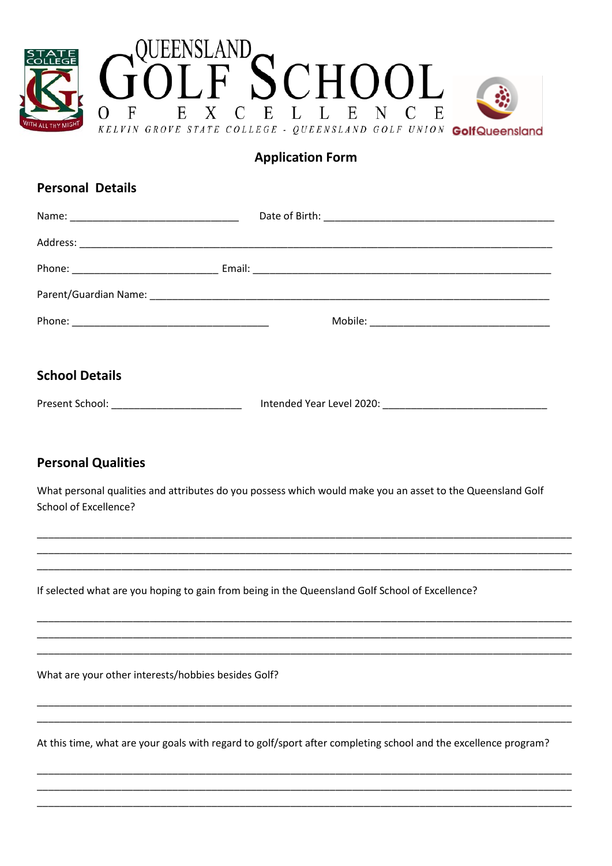

## **Application Form**

# **Personal Details**

| <b>School Details</b> |  |  |  |
|-----------------------|--|--|--|
|                       |  |  |  |

### **Personal Qualities**

What personal qualities and attributes do you possess which would make you an asset to the Queensland Golf School of Excellence?

If selected what are you hoping to gain from being in the Queensland Golf School of Excellence?

What are your other interests/hobbies besides Golf?

At this time, what are your goals with regard to golf/sport after completing school and the excellence program?